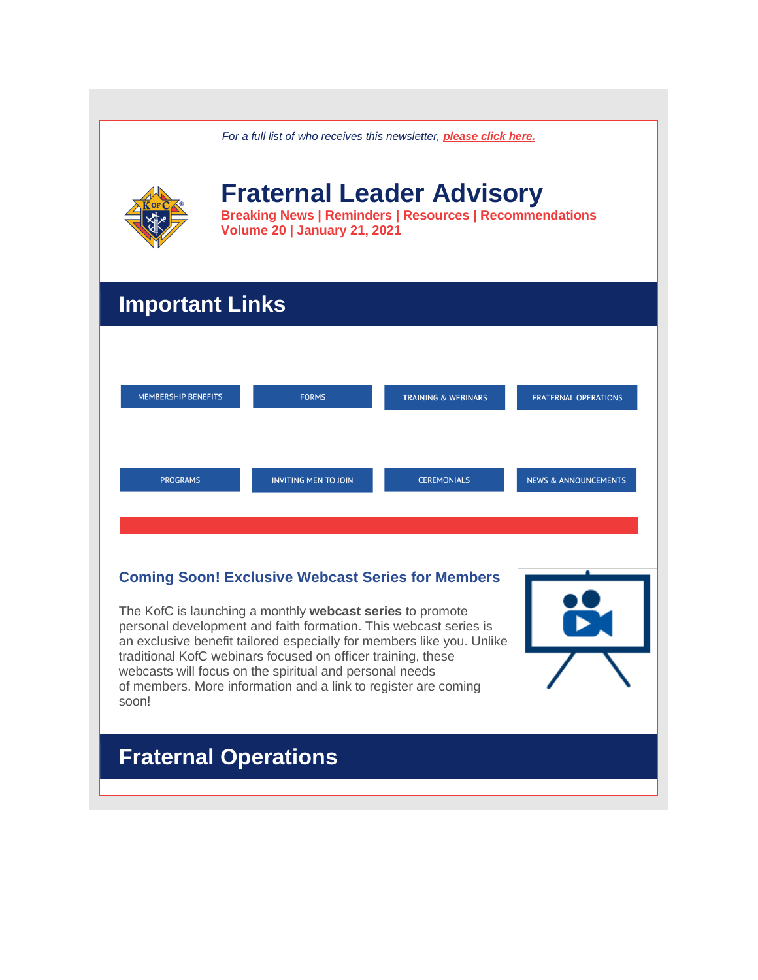| For a full list of who receives this newsletter, <b>please click here.</b>                                                                                                                                                                                                                                                                                                                                   |                                                                                                                                           |                                |                                 |
|--------------------------------------------------------------------------------------------------------------------------------------------------------------------------------------------------------------------------------------------------------------------------------------------------------------------------------------------------------------------------------------------------------------|-------------------------------------------------------------------------------------------------------------------------------------------|--------------------------------|---------------------------------|
|                                                                                                                                                                                                                                                                                                                                                                                                              | <b>Fraternal Leader Advisory</b><br><b>Breaking News   Reminders   Resources   Recommendations</b><br><b>Volume 20   January 21, 2021</b> |                                |                                 |
| <b>Important Links</b>                                                                                                                                                                                                                                                                                                                                                                                       |                                                                                                                                           |                                |                                 |
|                                                                                                                                                                                                                                                                                                                                                                                                              |                                                                                                                                           |                                |                                 |
| <b>MEMBERSHIP BENEFITS</b>                                                                                                                                                                                                                                                                                                                                                                                   | <b>FORMS</b>                                                                                                                              | <b>TRAINING &amp; WEBINARS</b> | <b>FRATERNAL OPERATIONS</b>     |
|                                                                                                                                                                                                                                                                                                                                                                                                              |                                                                                                                                           |                                |                                 |
| <b>PROGRAMS</b>                                                                                                                                                                                                                                                                                                                                                                                              | <b>INVITING MEN TO JOIN</b>                                                                                                               | <b>CEREMONIALS</b>             | <b>NEWS &amp; ANNOUNCEMENTS</b> |
|                                                                                                                                                                                                                                                                                                                                                                                                              |                                                                                                                                           |                                |                                 |
| <b>Coming Soon! Exclusive Webcast Series for Members</b>                                                                                                                                                                                                                                                                                                                                                     |                                                                                                                                           |                                |                                 |
| The KofC is launching a monthly webcast series to promote<br>personal development and faith formation. This webcast series is<br>an exclusive benefit tailored especially for members like you. Unlike<br>traditional KofC webinars focused on officer training, these<br>webcasts will focus on the spiritual and personal needs<br>of members. More information and a link to register are coming<br>soon! |                                                                                                                                           |                                |                                 |
| <b>Fraternal Operations</b>                                                                                                                                                                                                                                                                                                                                                                                  |                                                                                                                                           |                                |                                 |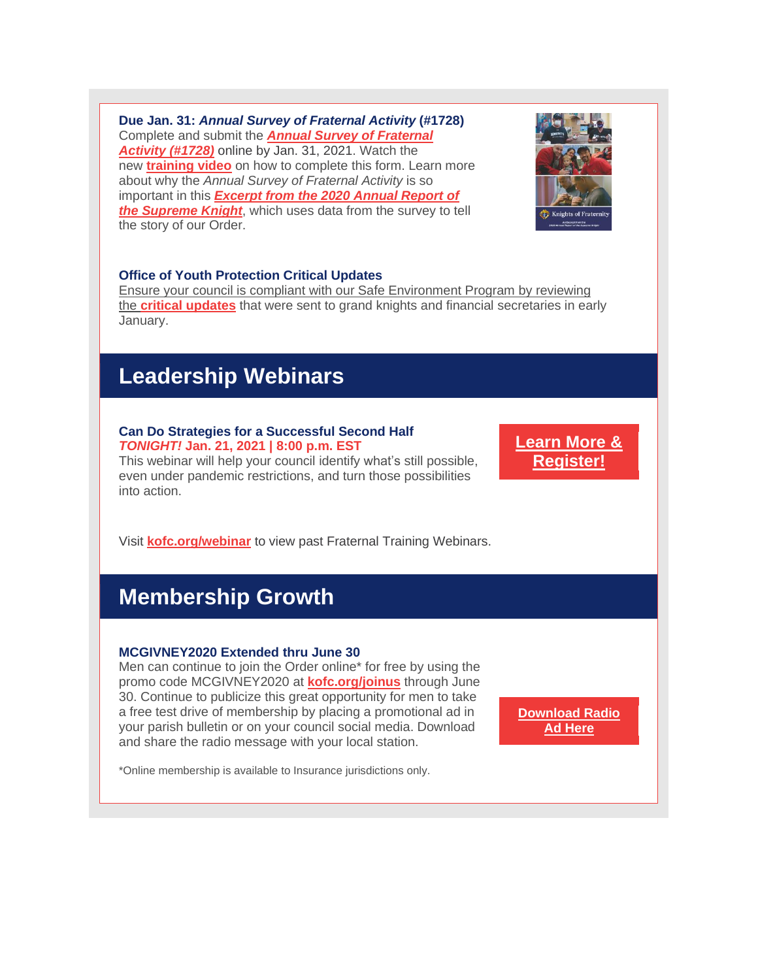**Due Jan. 31:** *Annual Survey of Fraternal Activity* **(#1728)** Complete and submit the *Annual Survey of [Fraternal](http://r20.rs6.net/tn.jsp?f=0012fuV_eCwvPphhMnorfbbQpvdP_bDd-v83OAVuU7AoFwj-6UMButXxHf1ofaq3U7HaOdsxsfmaYES-npQaIgT8jzdET9f6G72uFPqFJZn_mnRuy2m7-Se7q6oVSKvDoZPxP1rVxaLukzOKCUtN4N8xLUlw3sKnH5rLP-xUVR7BR7v1fyvREJJ05jGdaGsXDkZ2Q01qSn3Z5i7EwBPGzIVmxypSOUhIE9_&c=s4pcVQ6eA28MyCobMvbO6uFrsJdgZWjcwgaE5CkdoksDvBeS6hR3bA==&ch=iOKvs6FsQUkc4LcsRdaO_3BCO7J2i9GbweE3EaINaO-Q_Tygqygc4A==) [Activity](http://r20.rs6.net/tn.jsp?f=0012fuV_eCwvPphhMnorfbbQpvdP_bDd-v83OAVuU7AoFwj-6UMButXxHf1ofaq3U7HaOdsxsfmaYES-npQaIgT8jzdET9f6G72uFPqFJZn_mnRuy2m7-Se7q6oVSKvDoZPxP1rVxaLukzOKCUtN4N8xLUlw3sKnH5rLP-xUVR7BR7v1fyvREJJ05jGdaGsXDkZ2Q01qSn3Z5i7EwBPGzIVmxypSOUhIE9_&c=s4pcVQ6eA28MyCobMvbO6uFrsJdgZWjcwgaE5CkdoksDvBeS6hR3bA==&ch=iOKvs6FsQUkc4LcsRdaO_3BCO7J2i9GbweE3EaINaO-Q_Tygqygc4A==) (#1728)* online by Jan. 31, 2021. Watch the new **[training](http://r20.rs6.net/tn.jsp?f=0012fuV_eCwvPphhMnorfbbQpvdP_bDd-v83OAVuU7AoFwj-6UMButXxOfLjd8IHFmRWesLhhlLoxfoPKBWR1ywd3FXgP2Bb0jA5XNGcpYRFrmkQcSgEYEbHYGijwGrIPx2F0fESj8cRObxh97QpjV1JgIPgd15v90Xeap4bYicbE0VM6uA30Vy6fJ7hugwb8w11T6rT8_KSl_uUKgWKvqsQxok5dea2vFAamFSv_7PO0EdJrP0PfpO8bOV2otFKae5QEN9icVMX6JLpfZ0iYQvG0Hef16FEXsQr1L1yPm4l2aUb1j9FV1ctUccxD3KHA0xywUbmVNRlMY=&c=s4pcVQ6eA28MyCobMvbO6uFrsJdgZWjcwgaE5CkdoksDvBeS6hR3bA==&ch=iOKvs6FsQUkc4LcsRdaO_3BCO7J2i9GbweE3EaINaO-Q_Tygqygc4A==) video** on how to complete this form. Learn more about why the *Annual Survey of Fraternal Activity* is so important in this *[Excerpt](http://r20.rs6.net/tn.jsp?f=0012fuV_eCwvPphhMnorfbbQpvdP_bDd-v83OAVuU7AoFwj-6UMButXxOfLjd8IHFmRaT9amQVe7tsd20UFYY8nO2dCHvu2yX0DuQGsrAsRvrTA6h6HU3AtyroD8jlhMrESUKFFtYXlX5kG0_76zIGc1o-Sya_ZpOmLW0NZ67vcAoB5aq2iq5d4BySvyWyl6XlvCdeFO8Sgl79sJPWKh90byEFUGFz3lKAkxDntG--rh9A=&c=s4pcVQ6eA28MyCobMvbO6uFrsJdgZWjcwgaE5CkdoksDvBeS6hR3bA==&ch=iOKvs6FsQUkc4LcsRdaO_3BCO7J2i9GbweE3EaINaO-Q_Tygqygc4A==) from the 2020 Annual Report of the [Supreme](http://r20.rs6.net/tn.jsp?f=0012fuV_eCwvPphhMnorfbbQpvdP_bDd-v83OAVuU7AoFwj-6UMButXxOfLjd8IHFmRaT9amQVe7tsd20UFYY8nO2dCHvu2yX0DuQGsrAsRvrTA6h6HU3AtyroD8jlhMrESUKFFtYXlX5kG0_76zIGc1o-Sya_ZpOmLW0NZ67vcAoB5aq2iq5d4BySvyWyl6XlvCdeFO8Sgl79sJPWKh90byEFUGFz3lKAkxDntG--rh9A=&c=s4pcVQ6eA28MyCobMvbO6uFrsJdgZWjcwgaE5CkdoksDvBeS6hR3bA==&ch=iOKvs6FsQUkc4LcsRdaO_3BCO7J2i9GbweE3EaINaO-Q_Tygqygc4A==) Knight*, which uses data from the survey to tell the story of our Order.



### **Office of Youth Protection Critical Updates**

Ensure your council is compliant with our Safe [Environment](http://r20.rs6.net/tn.jsp?f=0012fuV_eCwvPphhMnorfbbQpvdP_bDd-v83OAVuU7AoFwj-6UMButXxHw1NGWfd-0YsrvgZ_3OEuFg4XzS9WJQ6xlaYGmn9OCIG7df5NFeZD4-KWSHC4k8wMq5XTkNcTGKnGBeRfpItXdjMpx8M2UkvA==&c=s4pcVQ6eA28MyCobMvbO6uFrsJdgZWjcwgaE5CkdoksDvBeS6hR3bA==&ch=iOKvs6FsQUkc4LcsRdaO_3BCO7J2i9GbweE3EaINaO-Q_Tygqygc4A==) Program by reviewing [the](http://r20.rs6.net/tn.jsp?f=0012fuV_eCwvPphhMnorfbbQpvdP_bDd-v83OAVuU7AoFwj-6UMButXxHw1NGWfd-0YsrvgZ_3OEuFg4XzS9WJQ6xlaYGmn9OCIG7df5NFeZD4-KWSHC4k8wMq5XTkNcTGKnGBeRfpItXdjMpx8M2UkvA==&c=s4pcVQ6eA28MyCobMvbO6uFrsJdgZWjcwgaE5CkdoksDvBeS6hR3bA==&ch=iOKvs6FsQUkc4LcsRdaO_3BCO7J2i9GbweE3EaINaO-Q_Tygqygc4A==) **critical [updates](http://r20.rs6.net/tn.jsp?f=0012fuV_eCwvPphhMnorfbbQpvdP_bDd-v83OAVuU7AoFwj-6UMButXxHf1ofaq3U7HAae1NYRRUAk_24Jlk5xSVAn4eEBGNhyVki5vwRcYF-vZz417PMod7r5YYaHpOBLCV8twFRaIlru4CRyZYvqdig==&c=s4pcVQ6eA28MyCobMvbO6uFrsJdgZWjcwgaE5CkdoksDvBeS6hR3bA==&ch=iOKvs6FsQUkc4LcsRdaO_3BCO7J2i9GbweE3EaINaO-Q_Tygqygc4A==)** that were sent to grand knights and financial secretaries in early January.

## **Leadership Webinars**

### **Can Do Strategies for a Successful Second Half** *TONIGHT!* **Jan. 21, 2021 | 8:00 p.m. EST**

This webinar will help your council identify what's still possible, even under pandemic restrictions, and turn those possibilities into action.

**[Learn](http://r20.rs6.net/tn.jsp?f=0012fuV_eCwvPphhMnorfbbQpvdP_bDd-v83OAVuU7AoFwj-6UMButXxOfLjd8IHFmRo1ttN7cI1cmLIW3XVWAuLh40qt_3QV0D6WAwv_cWmI9Nx7Kspln-mnUxswdQY7TADj1RppTZnbJltJ95IOyucVAeitM39-VsJ3xYYrfXsP85kNF6g1K_JNakM_FIM4bJ76HLVKE3mey7Ka5GNsqe0xI0wymxdovNBOo2BwQ59wY=&c=s4pcVQ6eA28MyCobMvbO6uFrsJdgZWjcwgaE5CkdoksDvBeS6hR3bA==&ch=iOKvs6FsQUkc4LcsRdaO_3BCO7J2i9GbweE3EaINaO-Q_Tygqygc4A==) More & [Register!](http://r20.rs6.net/tn.jsp?f=0012fuV_eCwvPphhMnorfbbQpvdP_bDd-v83OAVuU7AoFwj-6UMButXxOfLjd8IHFmRo1ttN7cI1cmLIW3XVWAuLh40qt_3QV0D6WAwv_cWmI9Nx7Kspln-mnUxswdQY7TADj1RppTZnbJltJ95IOyucVAeitM39-VsJ3xYYrfXsP85kNF6g1K_JNakM_FIM4bJ76HLVKE3mey7Ka5GNsqe0xI0wymxdovNBOo2BwQ59wY=&c=s4pcVQ6eA28MyCobMvbO6uFrsJdgZWjcwgaE5CkdoksDvBeS6hR3bA==&ch=iOKvs6FsQUkc4LcsRdaO_3BCO7J2i9GbweE3EaINaO-Q_Tygqygc4A==)**

Visit **[kofc.org/webinar](http://r20.rs6.net/tn.jsp?f=0012fuV_eCwvPphhMnorfbbQpvdP_bDd-v83OAVuU7AoFwj-6UMButXxOfLjd8IHFmRJGMGsjH1uDv0-IimM0ZKiFMe0qouqF33rIIXutOXLNLNnGbf42pop-9W4Ev7WyX-OSAZca_Hh9YvQCrunEDU-B-1lO6WjJOAFAKCqaTW40VHtOnrsAtIiYeIsLJhuGn4&c=s4pcVQ6eA28MyCobMvbO6uFrsJdgZWjcwgaE5CkdoksDvBeS6hR3bA==&ch=iOKvs6FsQUkc4LcsRdaO_3BCO7J2i9GbweE3EaINaO-Q_Tygqygc4A==)** to view past Fraternal Training Webinars.

# **Membership Growth**

#### **MCGIVNEY2020 Extended thru June 30**

Men can continue to join the Order online\* for free by using the promo code MCGIVNEY2020 at **[kofc.org/joinus](http://r20.rs6.net/tn.jsp?f=0012fuV_eCwvPphhMnorfbbQpvdP_bDd-v83OAVuU7AoFwj-6UMButXxDPYG-UFpIjrinULCCAt8QTB94Iac6kzWuuppNFf71eisq6i9i_XcixD-zCK8SsW4qOqi5BJ_XrOj6iXfWg0VHtNrTgSPE9CtIg-DLIWR_anElDupQvQiqfCNrZABIz7wU5oHTIhAMX0_ysRmXMqSqA=&c=s4pcVQ6eA28MyCobMvbO6uFrsJdgZWjcwgaE5CkdoksDvBeS6hR3bA==&ch=iOKvs6FsQUkc4LcsRdaO_3BCO7J2i9GbweE3EaINaO-Q_Tygqygc4A==)** through June 30. Continue to publicize this great opportunity for men to take a free test drive of membership by placing a promotional ad in your parish bulletin or on your council social media. Download and share the radio message with your local station.

**[Download](http://r20.rs6.net/tn.jsp?f=0012fuV_eCwvPphhMnorfbbQpvdP_bDd-v83OAVuU7AoFwj-6UMButXxOfLjd8IHFmROPTTXWTuE7o0rIEv74lXrGVux3TiN_bV_Ob82--qKL2cE2epzJo1xwG_ux_637XVRnP2aCz79tFE7ma3RZ-wLYv6J90s_fksEgRMjmzTN4mJo9dlm4p4t9NQZ-MvakQY&c=s4pcVQ6eA28MyCobMvbO6uFrsJdgZWjcwgaE5CkdoksDvBeS6hR3bA==&ch=iOKvs6FsQUkc4LcsRdaO_3BCO7J2i9GbweE3EaINaO-Q_Tygqygc4A==) Radio Ad [Here](http://r20.rs6.net/tn.jsp?f=0012fuV_eCwvPphhMnorfbbQpvdP_bDd-v83OAVuU7AoFwj-6UMButXxOfLjd8IHFmROPTTXWTuE7o0rIEv74lXrGVux3TiN_bV_Ob82--qKL2cE2epzJo1xwG_ux_637XVRnP2aCz79tFE7ma3RZ-wLYv6J90s_fksEgRMjmzTN4mJo9dlm4p4t9NQZ-MvakQY&c=s4pcVQ6eA28MyCobMvbO6uFrsJdgZWjcwgaE5CkdoksDvBeS6hR3bA==&ch=iOKvs6FsQUkc4LcsRdaO_3BCO7J2i9GbweE3EaINaO-Q_Tygqygc4A==)**

\*Online membership is available to Insurance jurisdictions only.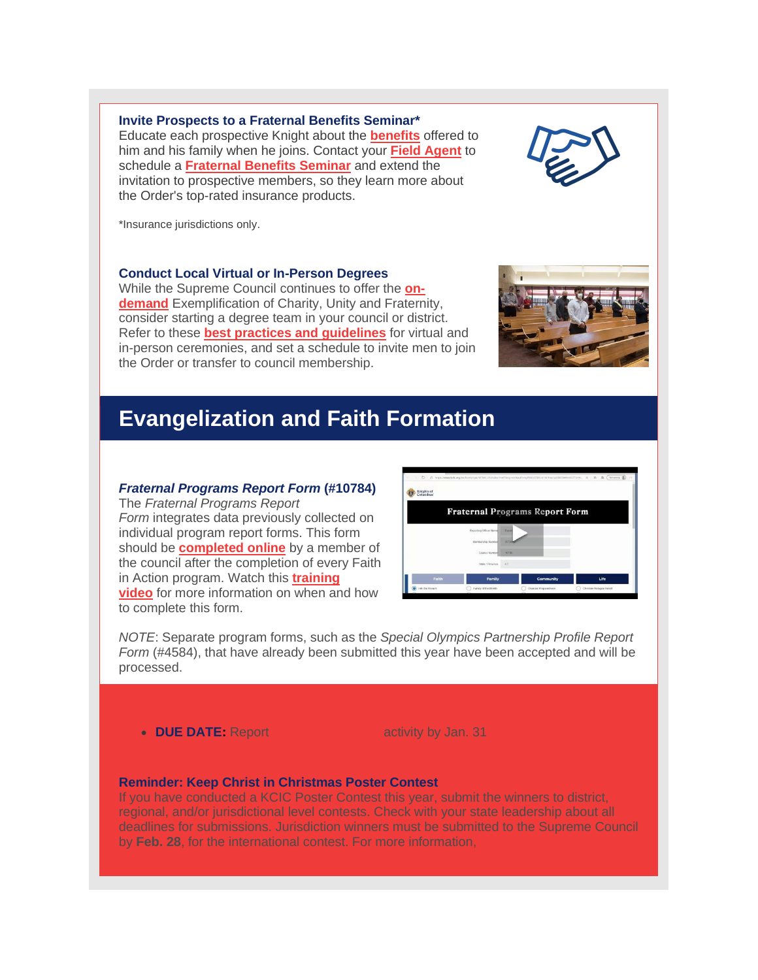**Invite Prospects to a Fraternal Benefits Seminar\*** Educate each prospective Knight about the **[benefits](http://r20.rs6.net/tn.jsp?f=0012fuV_eCwvPphhMnorfbbQpvdP_bDd-v83OAVuU7AoFwj-6UMButXxOfLjd8IHFmRBXC8QLAi5UnRP_83ic9VNufLgqezh1ZOREalCFx8aM358YxcKgzDpaLVFcAOHRuTlBoy671HalX8Fs-EegFmmFVv5ngrCAEiyuAdEE8mf1oMNz1Gsz6eFQwW8KekZjZPQq-T7soDZLFrEOkjSmbRYzc2W8sNhRNy&c=s4pcVQ6eA28MyCobMvbO6uFrsJdgZWjcwgaE5CkdoksDvBeS6hR3bA==&ch=iOKvs6FsQUkc4LcsRdaO_3BCO7J2i9GbweE3EaINaO-Q_Tygqygc4A==)** offered to him and his family when he joins. Contact your **Field [Agent](http://r20.rs6.net/tn.jsp?f=0012fuV_eCwvPphhMnorfbbQpvdP_bDd-v83OAVuU7AoFwj-6UMButXxOfLjd8IHFmRUuGE2wIlqbc0my6KHkygQ-mUUxTrCVNjwbkuUBLUgPVbqvy8bosTw0qqbiYprTfb8QdSQYEs4A0PBEdUXQt4vdcs1S_ozcps-8Nsg5hz__ul4ipt0blNU3K0d-a4gK-AOy4BSkdcevk=&c=s4pcVQ6eA28MyCobMvbO6uFrsJdgZWjcwgaE5CkdoksDvBeS6hR3bA==&ch=iOKvs6FsQUkc4LcsRdaO_3BCO7J2i9GbweE3EaINaO-Q_Tygqygc4A==)** to schedule a **[Fraternal](http://r20.rs6.net/tn.jsp?f=0012fuV_eCwvPphhMnorfbbQpvdP_bDd-v83OAVuU7AoFwj-6UMButXxOfLjd8IHFmRdyFLlCgMgXDO0OcuSQVMbTV8cOaUy2lQyzJe3hhb1W45HOHCwW5QO4UxkWh0xFJd4_XOv6GYkFYA74JCqlcedfcdGVFz4m0KbousE7DbOyqEJWb-45c_RkPLeyWf4DOTEtoblTdPcpl5dBsc4sXjK8khFo39Ps2d&c=s4pcVQ6eA28MyCobMvbO6uFrsJdgZWjcwgaE5CkdoksDvBeS6hR3bA==&ch=iOKvs6FsQUkc4LcsRdaO_3BCO7J2i9GbweE3EaINaO-Q_Tygqygc4A==) Benefits Seminar** and extend the invitation to prospective members, so they learn more about

\*Insurance jurisdictions only.

#### **Conduct Local Virtual or In-Person Degrees**

the Order's top-rated insurance products.

While the Supreme Council continues to offer the **[on](http://r20.rs6.net/tn.jsp?f=0012fuV_eCwvPphhMnorfbbQpvdP_bDd-v83OAVuU7AoFwj-6UMButXxA9gOe859Jx5A5javqCVLERfAoZMcsnGNNTy2GERj1JPnICeK4siDHk5K2l5AO2XerNOf-rNPX9nBi6uGcD4pzuvbeAI0w54M6Dq3fcLRI95UqS276OsURBv-yW3_MppdZKo9Gkf5aNpkE4w9nFlSX_t4VGcbOdLrXmJ1TUatNXW&c=s4pcVQ6eA28MyCobMvbO6uFrsJdgZWjcwgaE5CkdoksDvBeS6hR3bA==&ch=iOKvs6FsQUkc4LcsRdaO_3BCO7J2i9GbweE3EaINaO-Q_Tygqygc4A==)[demand](http://r20.rs6.net/tn.jsp?f=0012fuV_eCwvPphhMnorfbbQpvdP_bDd-v83OAVuU7AoFwj-6UMButXxA9gOe859Jx5A5javqCVLERfAoZMcsnGNNTy2GERj1JPnICeK4siDHk5K2l5AO2XerNOf-rNPX9nBi6uGcD4pzuvbeAI0w54M6Dq3fcLRI95UqS276OsURBv-yW3_MppdZKo9Gkf5aNpkE4w9nFlSX_t4VGcbOdLrXmJ1TUatNXW&c=s4pcVQ6eA28MyCobMvbO6uFrsJdgZWjcwgaE5CkdoksDvBeS6hR3bA==&ch=iOKvs6FsQUkc4LcsRdaO_3BCO7J2i9GbweE3EaINaO-Q_Tygqygc4A==)** Exemplification of Charity, Unity and Fraternity, consider starting a degree team in your council or district. Refer to these **best practices and [guidelines](http://r20.rs6.net/tn.jsp?f=0012fuV_eCwvPphhMnorfbbQpvdP_bDd-v83OAVuU7AoFwj-6UMButXxHw1NGWfd-0YBM1JQN_3Va_8CN1_Z9Cgu5v0TcWchKjbrKpGtZSd-UB0S87bU2cApOeSGI-H30hN2_XdbVuggTqEVSgIbMPwcvkILZh62SKUd7RryNUSgqxV_df2wKfwNk4--_7FKzfkQYAUyLnJ9Shn5qEBNhsxKrpBxtu8uDX9zSElBvsNA0QvXGkOy3pwdA==&c=s4pcVQ6eA28MyCobMvbO6uFrsJdgZWjcwgaE5CkdoksDvBeS6hR3bA==&ch=iOKvs6FsQUkc4LcsRdaO_3BCO7J2i9GbweE3EaINaO-Q_Tygqygc4A==)** for virtual and in-person ceremonies, and set a schedule to invite men to join the Order or transfer to council membership.

# **Evangelization and Faith Formation**

#### *Fraternal Programs Report Form* **(#10784)**

The *Fraternal Programs Report Form* integrates data previously collected on individual program report forms. This form should be **[completed](http://r20.rs6.net/tn.jsp?f=0012fuV_eCwvPphhMnorfbbQpvdP_bDd-v83OAVuU7AoFwj-6UMButXxIH1Ua6idnJKlXoAS5mpMvwrEM45gU-vEV-LzPcWCyUi6ajerG-w36ZdJ-uR70P304hTFhAoZWWEARjDUyC4GkBsfyIvrQTviSzGW40UWnjMV3TcILbeEojZY74nOIyelZL32HJODcSAhDxPxrpsCEjc2SuDLM7SMYWMuR_3TJb6&c=s4pcVQ6eA28MyCobMvbO6uFrsJdgZWjcwgaE5CkdoksDvBeS6hR3bA==&ch=iOKvs6FsQUkc4LcsRdaO_3BCO7J2i9GbweE3EaINaO-Q_Tygqygc4A==) online** by a member of the council after the completion of every Faith in Action program. Watch this **[training](http://r20.rs6.net/tn.jsp?f=0012fuV_eCwvPphhMnorfbbQpvdP_bDd-v83OAVuU7AoFwj-6UMButXxOfLjd8IHFmRSBG0LvRCG8GF1w-hY9tIMRLn8xq4qnzONVJ1VnXL0Vlz0TU9vK6-s7wDCgYzxXkDEElqT7eZJ_iwhu2o0wnDAeRJkZDlxJnzYUq5PWNaPSggpGT5A7EwVEn4WYqVhnnPtvfFdVwoD7GFLnyKaYucAT7DeaHw47SbinLiYv7fG0ts3eWOMNQm5PPTLU1aNGwaoVdGzWstFvhdiYgWfxWXptIZkayf25Ck1e0ay3SEkdu5fiGtuETzVvLtzUEfGBiu&c=s4pcVQ6eA28MyCobMvbO6uFrsJdgZWjcwgaE5CkdoksDvBeS6hR3bA==&ch=iOKvs6FsQUkc4LcsRdaO_3BCO7J2i9GbweE3EaINaO-Q_Tygqygc4A==) [video](http://r20.rs6.net/tn.jsp?f=0012fuV_eCwvPphhMnorfbbQpvdP_bDd-v83OAVuU7AoFwj-6UMButXxOfLjd8IHFmRSBG0LvRCG8GF1w-hY9tIMRLn8xq4qnzONVJ1VnXL0Vlz0TU9vK6-s7wDCgYzxXkDEElqT7eZJ_iwhu2o0wnDAeRJkZDlxJnzYUq5PWNaPSggpGT5A7EwVEn4WYqVhnnPtvfFdVwoD7GFLnyKaYucAT7DeaHw47SbinLiYv7fG0ts3eWOMNQm5PPTLU1aNGwaoVdGzWstFvhdiYgWfxWXptIZkayf25Ck1e0ay3SEkdu5fiGtuETzVvLtzUEfGBiu&c=s4pcVQ6eA28MyCobMvbO6uFrsJdgZWjcwgaE5CkdoksDvBeS6hR3bA==&ch=iOKvs6FsQUkc4LcsRdaO_3BCO7J2i9GbweE3EaINaO-Q_Tygqygc4A==)** for more information on when and how to complete this form.

*NOTE*: Separate program forms, such as the *Special Olympics Partnership Profile Report Form* (#4584), that have already been submitted this year have been accepted and will be processed.

• **DUE DATE:** Report **Specially activity by Jan. 31** 

### **Reminder: Keep Christ in Christmas Poster Contest**

If you have conducted a KCIC Poster Contest this year, submit the winners to district, regional, and/or jurisdictional level contests. Check with your state leadership about all deadlines for submissions. Jurisdiction winners must be submitted to the Supreme Council by **Feb. 28**, for the international contest. For more information, **click [here.](http://r20.rs6.net/tn.jsp?f=0012fuV_eCwvPphhMnorfbbQpvdP_bDd-v83OAVuU7AoFwj-6UMButXxHf1ofaq3U7H6jJjBiZQ8euSs6ZFiHQtduXd9rPcEM0OM4OuJxNoBDp94WMoiCfjbeUTVoVBQstrX1nlLFcHQaffDjMHGA_9Z7hwBc8uQb_A24Lxk8-ZR5oorZzb5lbPQqvREq_shiee3XYgrFq209uFxQBgJYer-mjg0eVwngHsEgXJDo0e1wOuLDwEd0oGpxTQBa98gIOk&c=s4pcVQ6eA28MyCobMvbO6uFrsJdgZWjcwgaE5CkdoksDvBeS6hR3bA==&ch=iOKvs6FsQUkc4LcsRdaO_3BCO7J2i9GbweE3EaINaO-Q_Tygqygc4A==)**



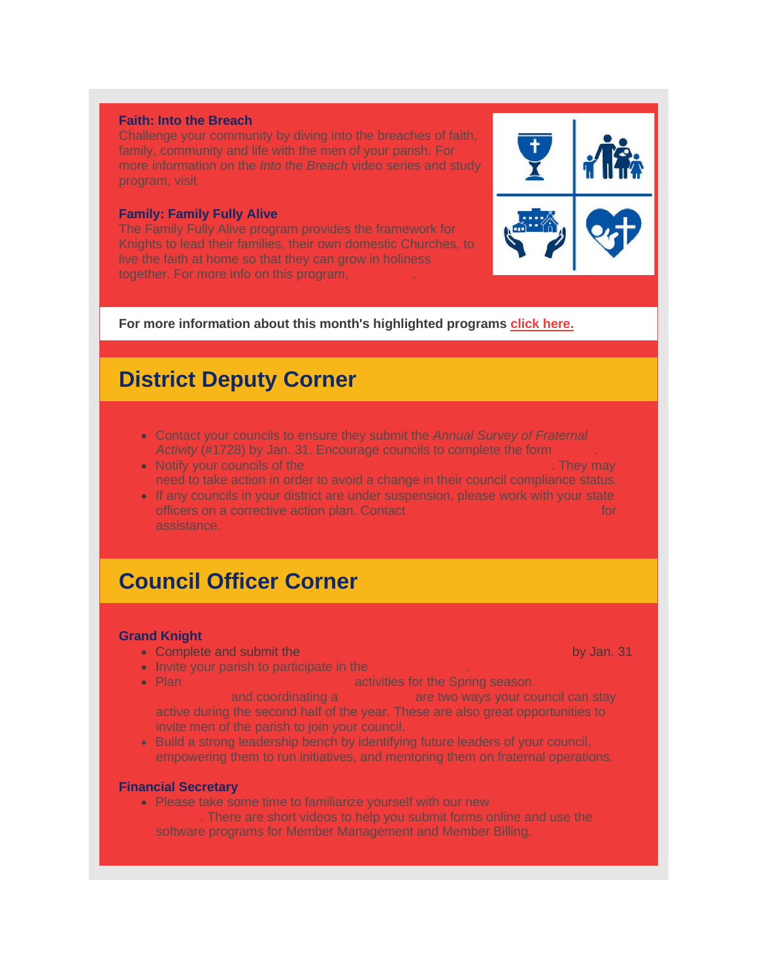#### **Faith: Into the Breach**

Challenge your community by diving into the breaches of faith, family, community and life with the men of your parish. For more information on the *Into the Breach* video series and study program, visit

#### **Family: Family Fully Alive**

The Family Fully Alive program provides the framework for Knights to lead their families, their own domestic Churches, to live the faith at home so that they can grow in holiness together. For more info on this program, **[click](http://r20.rs6.net/tn.jsp?f=0012fuV_eCwvPphhMnorfbbQpvdP_bDd-v83OAVuU7AoFwj-6UMButXxOfLjd8IHFmRZzGKNc6HODjmkS7g_EEcyMVYEZLG8b0ryTcwHnin2roeNjcyql5fMT3l63pSL-exehZjwHtUj-zQJmelo_DZe3iMjUiEo2hGwc6jVP8Z1c-dsbriyCfvnyqp_mnN3JD4p9YLp9rmSzs6PUcWOpb_0yvZknOnSBjyXKYsLC1WWnwYF493h-s1FQ==&c=s4pcVQ6eA28MyCobMvbO6uFrsJdgZWjcwgaE5CkdoksDvBeS6hR3bA==&ch=iOKvs6FsQUkc4LcsRdaO_3BCO7J2i9GbweE3EaINaO-Q_Tygqygc4A==) here**.

### **For more information about this month's highlighted programs click [here.](http://r20.rs6.net/tn.jsp?f=0012fuV_eCwvPphhMnorfbbQpvdP_bDd-v83OAVuU7AoFwj-6UMButXxPSmz6y1PQADWxT1aq4tIR-MOgnLB3E6Jnsxjl_pLWBD7aSr1ALE8d6NE7VXMmPbynGzvltMgpuRXsHcSBTpzubl1raM-DBWWowMRMqIjKB5lEsO8x68SFBXt1o9jTSdAuqc46HNxrhmya6w0u9d_N79bHxFX_6gA3gDaIyAin5OzZi0MpB4PNQGbY7hhIUrkN5C2vOXtz9c&c=s4pcVQ6eA28MyCobMvbO6uFrsJdgZWjcwgaE5CkdoksDvBeS6hR3bA==&ch=iOKvs6FsQUkc4LcsRdaO_3BCO7J2i9GbweE3EaINaO-Q_Tygqygc4A==)**

# **District Deputy Corner**

- Contact your councils to ensure they submit the *Annual Survey of Fraternal Activity* (#1728) by Jan. 31. Encourage councils to complete the form **[online](http://r20.rs6.net/tn.jsp?f=0012fuV_eCwvPphhMnorfbbQpvdP_bDd-v83OAVuU7AoFwj-6UMButXxOfLjd8IHFmRPXGuZviJuU7xHiPmYBzszb_V_QcIqFlagGBpOGiKy1aM_swaf8IfIk0m2MO2cJjZp-LetLHlbuWkPWQkYRC8hG6FJXWE8G3YHxe4HP6C6mA7fejVMmRnT6GCn0G_GxW-rF0sBAExCr1KrCllfwzGKQ==&c=s4pcVQ6eA28MyCobMvbO6uFrsJdgZWjcwgaE5CkdoksDvBeS6hR3bA==&ch=iOKvs6FsQUkc4LcsRdaO_3BCO7J2i9GbweE3EaINaO-Q_Tygqygc4A==)**.
- Notify your councils of the **new Office of Youth [Protection](http://r20.rs6.net/tn.jsp?f=0012fuV_eCwvPphhMnorfbbQpvdP_bDd-v83OAVuU7AoFwj-6UMButXxHf1ofaq3U7HAae1NYRRUAk_24Jlk5xSVAn4eEBGNhyVki5vwRcYF-vZz417PMod7r5YYaHpOBLCV8twFRaIlru4CRyZYvqdig==&c=s4pcVQ6eA28MyCobMvbO6uFrsJdgZWjcwgaE5CkdoksDvBeS6hR3bA==&ch=iOKvs6FsQUkc4LcsRdaO_3BCO7J2i9GbweE3EaINaO-Q_Tygqygc4A==) updates**. They may need to take action in order to avoid a change in their council compliance status.
- If any councils in your district are under suspension, please work with your state officers on a corrective action plan. Contact **Council Reactive for formation of the council** assistance.

# **Council Officer Corner**

### **Grand Knight**

- Complete and submit the *Annual Survey of [Fraternal](http://r20.rs6.net/tn.jsp?f=0012fuV_eCwvPphhMnorfbbQpvdP_bDd-v83OAVuU7AoFwj-6UMButXxOfLjd8IHFmRPXGuZviJuU7xHiPmYBzszb_V_QcIqFlagGBpOGiKy1aM_swaf8IfIk0m2MO2cJjZp-LetLHlbuWkPWQkYRC8hG6FJXWE8G3YHxe4HP6C6mA7fejVMmRnT6GCn0G_GxW-rF0sBAExCr1KrCllfwzGKQ==&c=s4pcVQ6eA28MyCobMvbO6uFrsJdgZWjcwgaE5CkdoksDvBeS6hR3bA==&ch=iOKvs6FsQUkc4LcsRdaO_3BCO7J2i9GbweE3EaINaO-Q_Tygqygc4A==) Activity* **[\(#1728\)](http://r20.rs6.net/tn.jsp?f=0012fuV_eCwvPphhMnorfbbQpvdP_bDd-v83OAVuU7AoFwj-6UMButXxOfLjd8IHFmRPXGuZviJuU7xHiPmYBzszb_V_QcIqFlagGBpOGiKy1aM_swaf8IfIk0m2MO2cJjZp-LetLHlbuWkPWQkYRC8hG6FJXWE8G3YHxe4HP6C6mA7fejVMmRnT6GCn0G_GxW-rF0sBAExCr1KrCllfwzGKQ==&c=s4pcVQ6eA28MyCobMvbO6uFrsJdgZWjcwgaE5CkdoksDvBeS6hR3bA==&ch=iOKvs6FsQUkc4LcsRdaO_3BCO7J2i9GbweE3EaINaO-Q_Tygqygc4A==)** by Jan. 31
- Invite your parish to participate in the
- Plan **Leaveler** *Nobel* **<b>Behind** activities for the Spring season.

**foodordinating a <b>[blood](http://r20.rs6.net/tn.jsp?f=0012fuV_eCwvPphhMnorfbbQpvdP_bDd-v83OAVuU7AoFwj-6UMButXxOfLjd8IHFmRWgBn9SYODIj1L8wHV816V-ac2OzVrAmCKaYsu_Du0xl7-_hcUT-vKEjbm7kGIIK88JXA4gYOm3y-dBZAJ2rhFJxC4_m9fS-CPsqGqtBwh7TMaxLcj_jLM26TE0LBrZQWcufH1ZYyY_KnYO2P_Y1ywXM62HnDqox3BLoNMtuRClXYLuovd6BoAVJtcEZni2yR&c=s4pcVQ6eA28MyCobMvbO6uFrsJdgZWjcwgaE5CkdoksDvBeS6hR3bA==&ch=iOKvs6FsQUkc4LcsRdaO_3BCO7J2i9GbweE3EaINaO-Q_Tygqygc4A==) are two ways your council can stay** active during the second half of the year. These are also great opportunities to invite men of the parish to join your council.

• Build a strong leadership bench by identifying future leaders of your council, empowering them to run initiatives, and mentoring them on fraternal operations.

#### **Financial Secretary**

• Please take some time to familiarize yourself with our new There are short videos to help you submit forms online and use the software programs for Member Management and Member Billing.